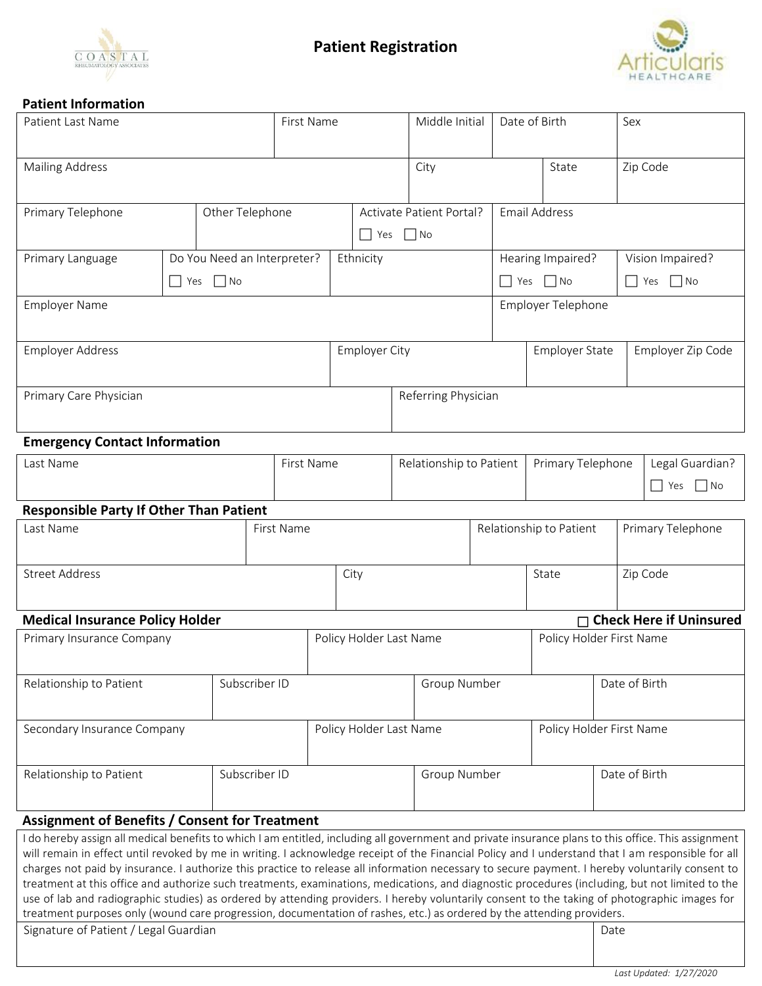



# **Patient Information**

| <b>Patient Last Name</b>                                                                                                                                                                                                                                                                                                                                                                                                                                                                                                                                                                                                                                                                                                                                                                                                                                                                     |                                                 | First Name    |                                              |            |                         | Middle Initial                               |                      | Date of Birth            |                                         |                                           | Sex                      |                   |          |                                          |
|----------------------------------------------------------------------------------------------------------------------------------------------------------------------------------------------------------------------------------------------------------------------------------------------------------------------------------------------------------------------------------------------------------------------------------------------------------------------------------------------------------------------------------------------------------------------------------------------------------------------------------------------------------------------------------------------------------------------------------------------------------------------------------------------------------------------------------------------------------------------------------------------|-------------------------------------------------|---------------|----------------------------------------------|------------|-------------------------|----------------------------------------------|----------------------|--------------------------|-----------------------------------------|-------------------------------------------|--------------------------|-------------------|----------|------------------------------------------|
| <b>Mailing Address</b>                                                                                                                                                                                                                                                                                                                                                                                                                                                                                                                                                                                                                                                                                                                                                                                                                                                                       |                                                 |               |                                              |            |                         |                                              |                      | City                     |                                         |                                           | State                    |                   |          | Zip Code                                 |
| Primary Telephone<br>Other Telephone                                                                                                                                                                                                                                                                                                                                                                                                                                                                                                                                                                                                                                                                                                                                                                                                                                                         |                                                 |               | Activate Patient Portal?<br>$\Box$ No<br>Yes |            |                         |                                              | <b>Email Address</b> |                          |                                         |                                           |                          |                   |          |                                          |
| Primary Language                                                                                                                                                                                                                                                                                                                                                                                                                                                                                                                                                                                                                                                                                                                                                                                                                                                                             | Do You Need an Interpreter?<br>$\Box$ No<br>Yes |               |                                              |            |                         | Ethnicity                                    |                      |                          |                                         | Hearing Impaired?<br>$\Box$ No<br>    Yes |                          |                   |          | Vision Impaired?<br>$\Box$ Yes $\Box$ No |
| <b>Employer Name</b>                                                                                                                                                                                                                                                                                                                                                                                                                                                                                                                                                                                                                                                                                                                                                                                                                                                                         |                                                 |               |                                              |            |                         |                                              |                      |                          | Employer Telephone                      |                                           |                          |                   |          |                                          |
| <b>Employer Address</b>                                                                                                                                                                                                                                                                                                                                                                                                                                                                                                                                                                                                                                                                                                                                                                                                                                                                      |                                                 |               |                                              |            | <b>Employer City</b>    |                                              |                      |                          | Employer State                          |                                           |                          | Employer Zip Code |          |                                          |
| Primary Care Physician                                                                                                                                                                                                                                                                                                                                                                                                                                                                                                                                                                                                                                                                                                                                                                                                                                                                       |                                                 |               |                                              |            |                         |                                              |                      | Referring Physician      |                                         |                                           |                          |                   |          |                                          |
| <b>Emergency Contact Information</b>                                                                                                                                                                                                                                                                                                                                                                                                                                                                                                                                                                                                                                                                                                                                                                                                                                                         |                                                 |               |                                              |            |                         |                                              |                      |                          |                                         |                                           |                          |                   |          |                                          |
| Last Name                                                                                                                                                                                                                                                                                                                                                                                                                                                                                                                                                                                                                                                                                                                                                                                                                                                                                    |                                                 |               | First Name                                   |            |                         | Relationship to Patient<br>Primary Telephone |                      |                          | Legal Guardian?<br>$\Box$ Yes $\Box$ No |                                           |                          |                   |          |                                          |
| <b>Responsible Party If Other Than Patient</b>                                                                                                                                                                                                                                                                                                                                                                                                                                                                                                                                                                                                                                                                                                                                                                                                                                               |                                                 |               |                                              |            |                         |                                              |                      |                          |                                         |                                           |                          |                   |          |                                          |
| Last Name                                                                                                                                                                                                                                                                                                                                                                                                                                                                                                                                                                                                                                                                                                                                                                                                                                                                                    |                                                 |               |                                              | First Name |                         |                                              |                      |                          |                                         |                                           | Relationship to Patient  |                   |          | Primary Telephone                        |
| <b>Street Address</b>                                                                                                                                                                                                                                                                                                                                                                                                                                                                                                                                                                                                                                                                                                                                                                                                                                                                        |                                                 |               |                                              |            | City                    |                                              |                      |                          |                                         | State                                     |                          |                   | Zip Code |                                          |
| <b>Medical Insurance Policy Holder</b>                                                                                                                                                                                                                                                                                                                                                                                                                                                                                                                                                                                                                                                                                                                                                                                                                                                       |                                                 |               |                                              |            |                         |                                              |                      |                          |                                         |                                           |                          |                   |          | □ Check Here if Uninsured                |
| Primary Insurance Company                                                                                                                                                                                                                                                                                                                                                                                                                                                                                                                                                                                                                                                                                                                                                                                                                                                                    |                                                 |               |                                              |            | Policy Holder Last Name |                                              |                      | Policy Holder First Name |                                         |                                           |                          |                   |          |                                          |
| Relationship to Patient                                                                                                                                                                                                                                                                                                                                                                                                                                                                                                                                                                                                                                                                                                                                                                                                                                                                      |                                                 |               | Subscriber ID                                |            |                         | Group Number                                 |                      |                          |                                         | Date of Birth                             |                          |                   |          |                                          |
| Secondary Insurance Company                                                                                                                                                                                                                                                                                                                                                                                                                                                                                                                                                                                                                                                                                                                                                                                                                                                                  |                                                 |               |                                              |            |                         | Policy Holder Last Name                      |                      |                          |                                         |                                           | Policy Holder First Name |                   |          |                                          |
| Relationship to Patient                                                                                                                                                                                                                                                                                                                                                                                                                                                                                                                                                                                                                                                                                                                                                                                                                                                                      |                                                 | Subscriber ID |                                              |            | Group Number            |                                              |                      |                          |                                         | Date of Birth                             |                          |                   |          |                                          |
| <b>Assignment of Benefits / Consent for Treatment</b>                                                                                                                                                                                                                                                                                                                                                                                                                                                                                                                                                                                                                                                                                                                                                                                                                                        |                                                 |               |                                              |            |                         |                                              |                      |                          |                                         |                                           |                          |                   |          |                                          |
| I do hereby assign all medical benefits to which I am entitled, including all government and private insurance plans to this office. This assignment<br>will remain in effect until revoked by me in writing. I acknowledge receipt of the Financial Policy and I understand that I am responsible for all<br>charges not paid by insurance. I authorize this practice to release all information necessary to secure payment. I hereby voluntarily consent to<br>treatment at this office and authorize such treatments, examinations, medications, and diagnostic procedures (including, but not limited to the<br>use of lab and radiographic studies) as ordered by attending providers. I hereby voluntarily consent to the taking of photographic images for<br>treatment purposes only (wound care progression, documentation of rashes, etc.) as ordered by the attending providers. |                                                 |               |                                              |            |                         |                                              |                      |                          |                                         |                                           |                          |                   |          |                                          |

Signature of Patient / Legal Guardian Date **Date 2018**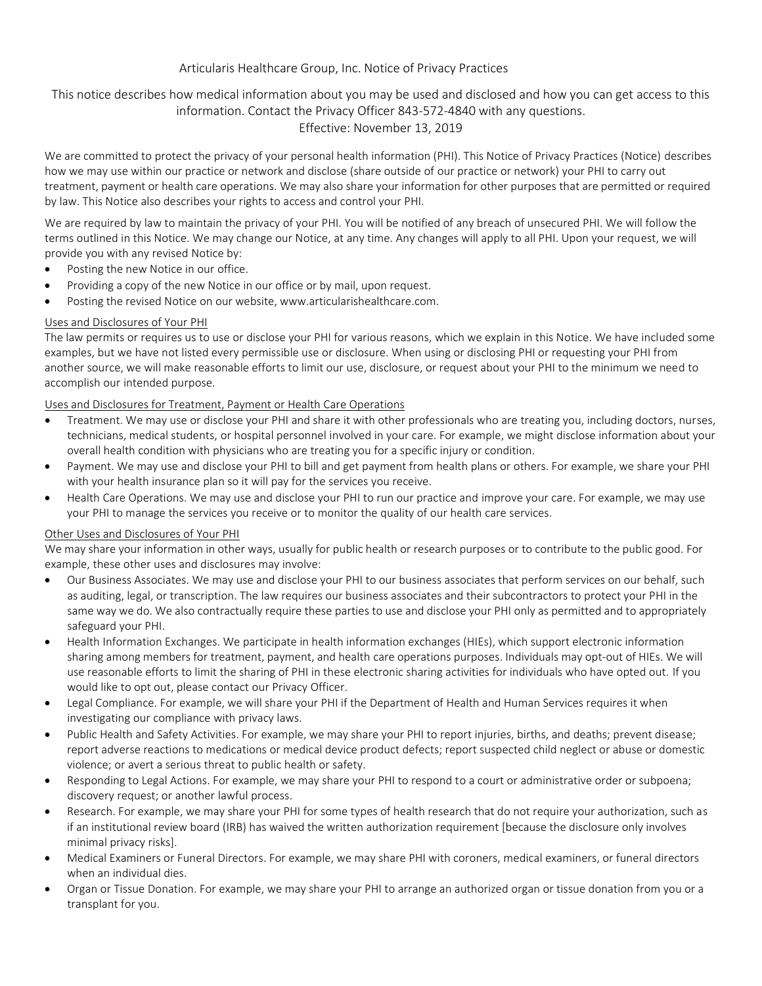# Articularis Healthcare Group, Inc. Notice of Privacy Practices

## This notice describes how medical information about you may be used and disclosed and how you can get access to this information. Contact the Privacy Officer 843-572-4840 with any questions. Effective: November 13, 2019

We are committed to protect the privacy of your personal health information (PHI). This Notice of Privacy Practices (Notice) describes how we may use within our practice or network and disclose (share outside of our practice or network) your PHI to carry out treatment, payment or health care operations. We may also share your information for other purposes that are permitted or required by law. This Notice also describes your rights to access and control your PHI.

We are required by law to maintain the privacy of your PHI. You will be notified of any breach of unsecured PHI. We will follow the terms outlined in this Notice. We may change our Notice, at any time. Any changes will apply to all PHI. Upon your request, we will provide you with any revised Notice by:

- Posting the new Notice in our office.
- Providing a copy of the new Notice in our office or by mail, upon request.
- Posting the revised Notice on our website, [www.articularishealthcare.com.](http://www.articularishealthcare.com/)

### Uses and Disclosures of Your PHI

The law permits or requires us to use or disclose your PHI for various reasons, which we explain in this Notice. We have included some examples, but we have not listed every permissible use or disclosure. When using or disclosing PHI or requesting your PHI from another source, we will make reasonable efforts to limit our use, disclosure, or request about your PHI to the minimum we need to accomplish our intended purpose.

## Uses and Disclosures for Treatment, Payment or Health Care Operations

- Treatment. We may use or disclose your PHI and share it with other professionals who are treating you, including doctors, nurses, technicians, medical students, or hospital personnel involved in your care. For example, we might disclose information about your overall health condition with physicians who are treating you for a specific injury or condition.
- Payment. We may use and disclose your PHI to bill and get payment from health plans or others. For example, we share your PHI with your health insurance plan so it will pay for the services you receive.
- Health Care Operations. We may use and disclose your PHI to run our practice and improve your care. For example, we may use your PHI to manage the services you receive or to monitor the quality of our health care services.

### Other Uses and Disclosures of Your PHI

We may share your information in other ways, usually for public health or research purposes or to contribute to the public good. For example, these other uses and disclosures may involve:

- Our Business Associates. We may use and disclose your PHI to our business associates that perform services on our behalf, such as auditing, legal, or transcription. The law requires our business associates and their subcontractors to protect your PHI in the same way we do. We also contractually require these parties to use and disclose your PHI only as permitted and to appropriately safeguard your PHI.
- Health Information Exchanges. We participate in health information exchanges (HIEs), which support electronic information sharing among members for treatment, payment, and health care operations purposes. Individuals may opt-out of HIEs. We will use reasonable efforts to limit the sharing of PHI in these electronic sharing activities for individuals who have opted out. If you would like to opt out, please contact our Privacy Officer.
- Legal Compliance. For example, we will share your PHI if the Department of Health and Human Services requires it when investigating our compliance with privacy laws.
- Public Health and Safety Activities. For example, we may share your PHI to report injuries, births, and deaths; prevent disease; report adverse reactions to medications or medical device product defects; report suspected child neglect or abuse or domestic violence; or avert a serious threat to public health or safety.
- Responding to Legal Actions. For example, we may share your PHI to respond to a court or administrative order or subpoena; discovery request; or another lawful process.
- Research. For example, we may share your PHI for some types of health research that do not require your authorization, such as if an institutional review board (IRB) has waived the written authorization requirement [because the disclosure only involves minimal privacy risks].
- Medical Examiners or Funeral Directors. For example, we may share PHI with coroners, medical examiners, or funeral directors when an individual dies.
- Organ or Tissue Donation. For example, we may share your PHI to arrange an authorized organ or tissue donation from you or a transplant for you.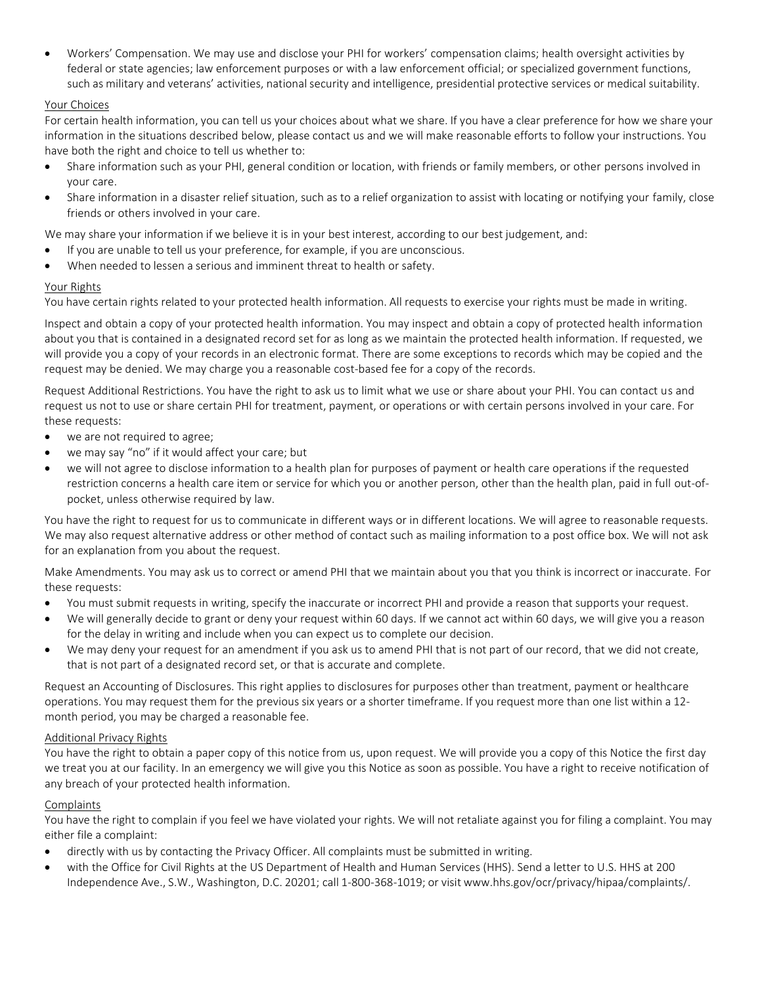• Workers' Compensation. We may use and disclose your PHI for workers' compensation claims; health oversight activities by federal or state agencies; law enforcement purposes or with a law enforcement official; or specialized government functions, such as military and veterans' activities, national security and intelligence, presidential protective services or medical suitability.

## Your Choices

For certain health information, you can tell us your choices about what we share. If you have a clear preference for how we share your information in the situations described below, please contact us and we will make reasonable efforts to follow your instructions. You have both the right and choice to tell us whether to:

- Share information such as your PHI, general condition or location, with friends or family members, or other persons involved in your care.
- Share information in a disaster relief situation, such as to a relief organization to assist with locating or notifying your family, close friends or others involved in your care.

We may share your information if we believe it is in your best interest, according to our best judgement, and:

- If you are unable to tell us your preference, for example, if you are unconscious.
- When needed to lessen a serious and imminent threat to health or safety.

### Your Rights

You have certain rights related to your protected health information. All requests to exercise your rights must be made in writing.

Inspect and obtain a copy of your protected health information. You may inspect and obtain a copy of protected health information about you that is contained in a designated record set for as long as we maintain the protected health information. If requested, we will provide you a copy of your records in an electronic format. There are some exceptions to records which may be copied and the request may be denied. We may charge you a reasonable cost-based fee for a copy of the records.

Request Additional Restrictions. You have the right to ask us to limit what we use or share about your PHI. You can contact us and request us not to use or share certain PHI for treatment, payment, or operations or with certain persons involved in your care. For these requests:

- we are not required to agree;
- we may say "no" if it would affect your care; but
- we will not agree to disclose information to a health plan for purposes of payment or health care operations if the requested restriction concerns a health care item or service for which you or another person, other than the health plan, paid in full out-ofpocket, unless otherwise required by law.

You have the right to request for us to communicate in different ways or in different locations. We will agree to reasonable requests. We may also request alternative address or other method of contact such as mailing information to a post office box. We will not ask for an explanation from you about the request.

Make Amendments. You may ask us to correct or amend PHI that we maintain about you that you think is incorrect or inaccurate. For these requests:

- You must submit requests in writing, specify the inaccurate or incorrect PHI and provide a reason that supports your request.
- We will generally decide to grant or deny your request within 60 days. If we cannot act within 60 days, we will give you a reason for the delay in writing and include when you can expect us to complete our decision.
- We may deny your request for an amendment if you ask us to amend PHI that is not part of our record, that we did not create, that is not part of a designated record set, or that is accurate and complete.

Request an Accounting of Disclosures. This right applies to disclosures for purposes other than treatment, payment or healthcare operations. You may request them for the previous six years or a shorter timeframe. If you request more than one list within a 12 month period, you may be charged a reasonable fee.

### Additional Privacy Rights

You have the right to obtain a paper copy of this notice from us, upon request. We will provide you a copy of this Notice the first day we treat you at our facility. In an emergency we will give you this Notice as soon as possible. You have a right to receive notification of any breach of your protected health information.

### **Complaints**

You have the right to complain if you feel we have violated your rights. We will not retaliate against you for filing a complaint. You may either file a complaint:

- directly with us by contacting the Privacy Officer. All complaints must be submitted in writing.
- with the Office for Civil Rights at the US Department of Health and Human Services (HHS). Send a letter to U.S. HHS at 200 Independence Ave., S.W., Washington, D.C. 20201; call 1-800-368-1019; or visit [www.hhs.gov/ocr/privacy/hipaa/complaints/.](http://www.hhs.gov/ocr/privacy/hipaa/complaints/)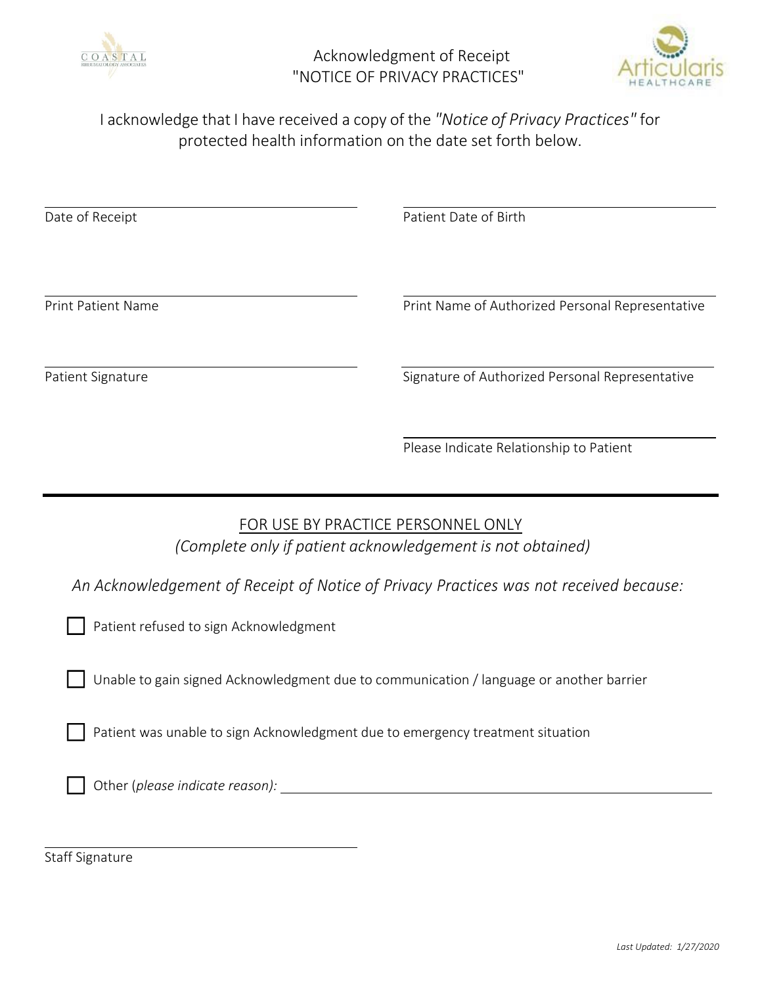

Acknowledgment of Receipt "NOTICE OF PRIVACY PRACTICES"



I acknowledge that I have received a copy of the *"Notice of Privacy Practices"* for protected health information on the date set forth below.

Date of Receipt **Patient Date of Birth** Print Patient Name **Print Name Authorized Personal Representative** Print Name of Authorized Personal Representative Patient Signature **Signature Signature of Authorized Personal Representative** 

Please Indicate Relationship to Patient

# FOR USE BY PRACTICE PERSONNEL ONLY *(Complete only if patient acknowledgement is not obtained)*

*An Acknowledgement of Receipt of Notice of Privacy Practices was not received because:*

|  | Patient refused to sign Acknowledgment |  |  |  |
|--|----------------------------------------|--|--|--|
|--|----------------------------------------|--|--|--|

Unable to gain signed Acknowledgment due to communication / language or another barrier

Patient was unable to sign Acknowledgment due to emergency treatment situation

Other (*please indicate reason):* 

Staff Signature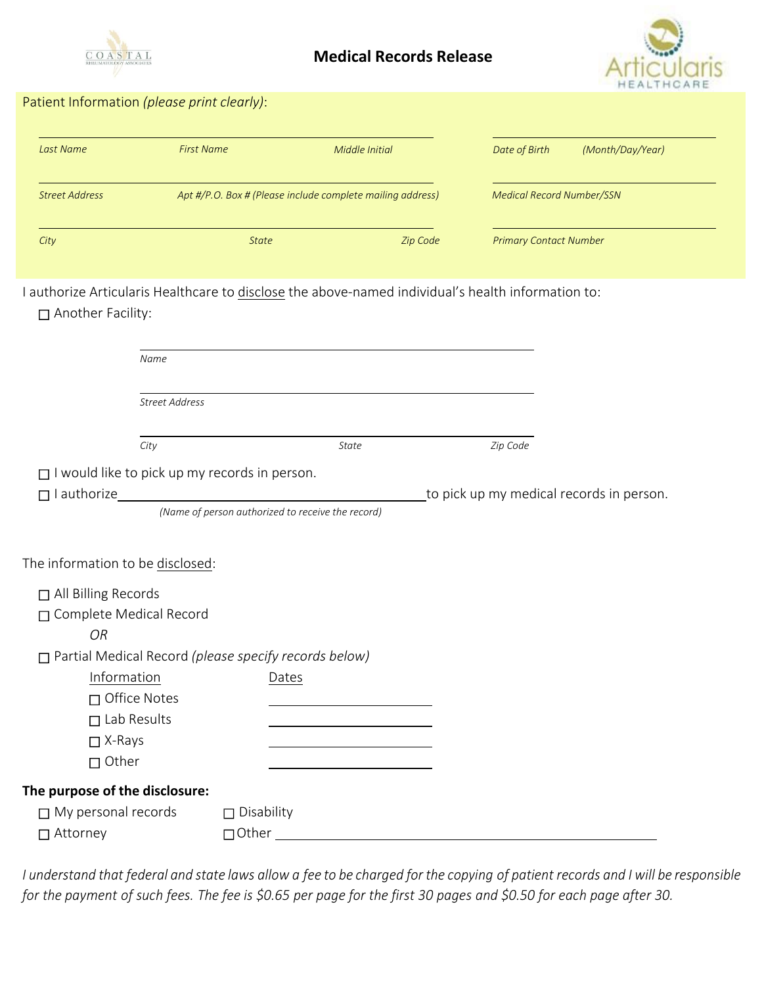

# **Medical Records Release**



# Patient Information *(please print clearly)*:

| Last Name             | <b>First Name</b> | Middle Initial                                             | Date of Birth                    | (Month/Day/Year) |
|-----------------------|-------------------|------------------------------------------------------------|----------------------------------|------------------|
| <b>Street Address</b> |                   | Apt #/P.O. Box # (Please include complete mailing address) | <b>Medical Record Number/SSN</b> |                  |
| City                  | <b>State</b>      | Zip Code                                                   | <b>Primary Contact Number</b>    |                  |

I authorize Articularis Healthcare to disclose the above-named individual's health information to: Another Facility:

| Name                                                         |                                                   |              |                                          |  |
|--------------------------------------------------------------|---------------------------------------------------|--------------|------------------------------------------|--|
| <b>Street Address</b>                                        |                                                   |              |                                          |  |
| City                                                         |                                                   | <b>State</b> | Zip Code                                 |  |
| $\Box$ I would like to pick up my records in person.         |                                                   |              |                                          |  |
| $\Box$ I authorize                                           |                                                   |              | to pick up my medical records in person. |  |
|                                                              | (Name of person authorized to receive the record) |              |                                          |  |
| The information to be disclosed:                             |                                                   |              |                                          |  |
| □ All Billing Records                                        |                                                   |              |                                          |  |
| □ Complete Medical Record                                    |                                                   |              |                                          |  |
| <b>OR</b>                                                    |                                                   |              |                                          |  |
| $\Box$ Partial Medical Record (please specify records below) |                                                   |              |                                          |  |
| Information                                                  | Dates                                             |              |                                          |  |
| □ Office Notes                                               |                                                   |              |                                          |  |
| $\Box$ Lab Results                                           |                                                   |              |                                          |  |
| $\Box$ X-Rays                                                |                                                   |              |                                          |  |
| $\Box$ Other                                                 |                                                   |              |                                          |  |
| The purpose of the disclosure:                               |                                                   |              |                                          |  |
| $\Box$ My personal records                                   | $\square$ Disability                              |              |                                          |  |
| □ Attorney                                                   | $\Box$ Other                                      |              |                                          |  |

I understand that federal and state laws allow a fee to be charged for the copying of patient records and I will be responsible for the payment of such fees. The fee is \$0.65 per page for the first 30 pages and \$0.50 for each page after 30.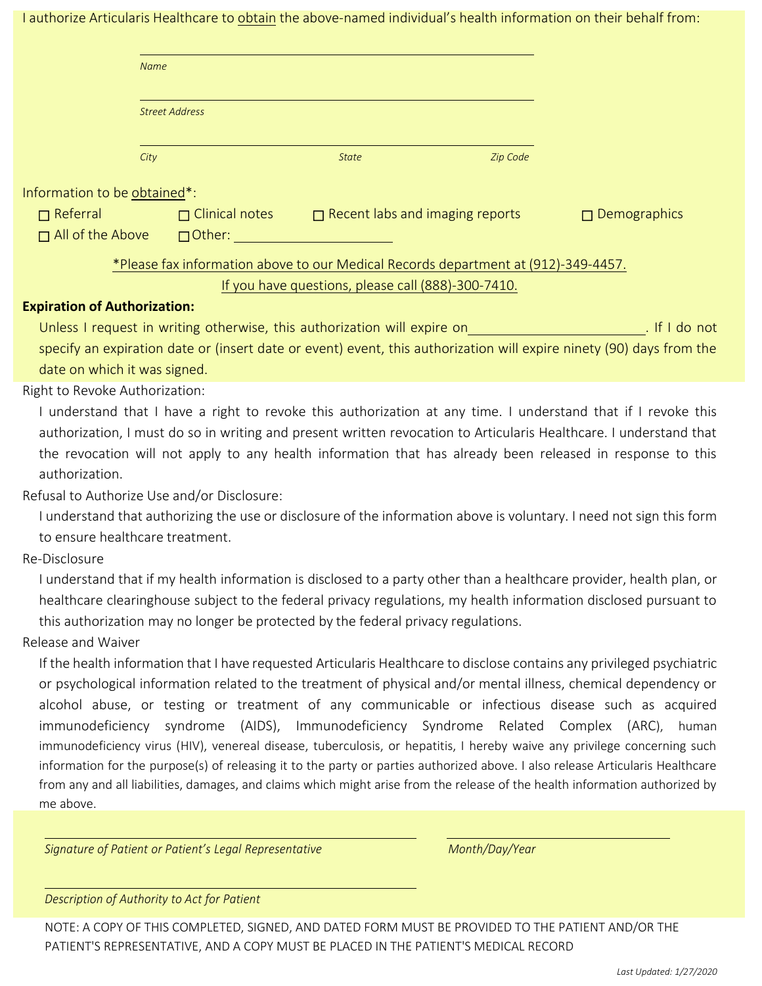I authorize Articularis Healthcare to obtain the above-named individual's health information on their behalf from:

|                                     | <b>Name</b>                                                                                                   |                                                    |                                                                                    |                                                                                                                                |  |  |  |  |  |
|-------------------------------------|---------------------------------------------------------------------------------------------------------------|----------------------------------------------------|------------------------------------------------------------------------------------|--------------------------------------------------------------------------------------------------------------------------------|--|--|--|--|--|
|                                     | <b>Street Address</b>                                                                                         |                                                    |                                                                                    |                                                                                                                                |  |  |  |  |  |
|                                     | City                                                                                                          | <b>State</b>                                       | Zip Code                                                                           |                                                                                                                                |  |  |  |  |  |
| Information to be obtained*:        |                                                                                                               |                                                    |                                                                                    |                                                                                                                                |  |  |  |  |  |
| $\Box$ Referral                     |                                                                                                               |                                                    | $\Box$ Clinical notes $\Box$ Recent labs and imaging reports                       | $\Box$ Demographics                                                                                                            |  |  |  |  |  |
| $\Box$ All of the Above             |                                                                                                               | □ Other: _______________________                   |                                                                                    |                                                                                                                                |  |  |  |  |  |
|                                     |                                                                                                               |                                                    | *Please fax information above to our Medical Records department at (912)-349-4457. |                                                                                                                                |  |  |  |  |  |
|                                     |                                                                                                               | If you have questions, please call (888)-300-7410. |                                                                                    |                                                                                                                                |  |  |  |  |  |
| <b>Expiration of Authorization:</b> |                                                                                                               |                                                    |                                                                                    |                                                                                                                                |  |  |  |  |  |
|                                     |                                                                                                               |                                                    |                                                                                    | Unless I request in writing otherwise, this authorization will expire on__________________________. If I do not                |  |  |  |  |  |
|                                     |                                                                                                               |                                                    |                                                                                    | specify an expiration date or (insert date or event) event, this authorization will expire ninety (90) days from the           |  |  |  |  |  |
| date on which it was signed.        |                                                                                                               |                                                    |                                                                                    |                                                                                                                                |  |  |  |  |  |
| Right to Revoke Authorization:      |                                                                                                               |                                                    |                                                                                    |                                                                                                                                |  |  |  |  |  |
|                                     | I understand that I have a right to revoke this authorization at any time. I understand that if I revoke this |                                                    |                                                                                    |                                                                                                                                |  |  |  |  |  |
|                                     |                                                                                                               |                                                    |                                                                                    | authorization, I must do so in writing and present written revocation to Articularis Healthcare. I understand that             |  |  |  |  |  |
|                                     |                                                                                                               |                                                    |                                                                                    | the revocation will not apply to any health information that has already been released in response to this                     |  |  |  |  |  |
| authorization.                      |                                                                                                               |                                                    |                                                                                    |                                                                                                                                |  |  |  |  |  |
|                                     | Refusal to Authorize Use and/or Disclosure:                                                                   |                                                    |                                                                                    | I understand that authorizing the use or disclosure of the information above is voluntary. I need not sign this form           |  |  |  |  |  |
|                                     | to ensure healthcare treatment.                                                                               |                                                    |                                                                                    |                                                                                                                                |  |  |  |  |  |
| Re-Disclosure                       |                                                                                                               |                                                    |                                                                                    |                                                                                                                                |  |  |  |  |  |
|                                     |                                                                                                               |                                                    |                                                                                    | I understand that if my health information is disclosed to a party other than a healthcare provider, health plan, or           |  |  |  |  |  |
|                                     |                                                                                                               |                                                    |                                                                                    | healthcare clearinghouse subject to the federal privacy regulations, my health information disclosed pursuant to               |  |  |  |  |  |
|                                     | this authorization may no longer be protected by the federal privacy regulations.                             |                                                    |                                                                                    |                                                                                                                                |  |  |  |  |  |
| Release and Waiver                  |                                                                                                               |                                                    |                                                                                    |                                                                                                                                |  |  |  |  |  |
|                                     |                                                                                                               |                                                    |                                                                                    | If the health information that I have requested Articularis Healthcare to disclose contains any privileged psychiatric         |  |  |  |  |  |
|                                     |                                                                                                               |                                                    |                                                                                    | or psychological information related to the treatment of physical and/or mental illness, chemical dependency or                |  |  |  |  |  |
|                                     |                                                                                                               |                                                    |                                                                                    | alcohol abuse, or testing or treatment of any communicable or infectious disease such as acquired                              |  |  |  |  |  |
|                                     |                                                                                                               |                                                    | immunodeficiency syndrome (AIDS), Immunodeficiency Syndrome Related Complex (ARC), | human                                                                                                                          |  |  |  |  |  |
|                                     |                                                                                                               |                                                    |                                                                                    | immunodeficiency virus (HIV), venereal disease, tuberculosis, or hepatitis, I hereby waive any privilege concerning such       |  |  |  |  |  |
|                                     |                                                                                                               |                                                    |                                                                                    | information for the purpose(s) of releasing it to the party or parties authorized above. I also release Articularis Healthcare |  |  |  |  |  |
|                                     |                                                                                                               |                                                    |                                                                                    | from any and all liabilities, damages, and claims which might arise from the release of the health information authorized by   |  |  |  |  |  |
| me above.                           |                                                                                                               |                                                    |                                                                                    |                                                                                                                                |  |  |  |  |  |
|                                     |                                                                                                               |                                                    |                                                                                    |                                                                                                                                |  |  |  |  |  |
|                                     | Signature of Patient or Patient's Legal Representative                                                        |                                                    | Month/Day/Year                                                                     |                                                                                                                                |  |  |  |  |  |
|                                     |                                                                                                               |                                                    |                                                                                    |                                                                                                                                |  |  |  |  |  |
|                                     | Description of Authority to Act for Patient                                                                   |                                                    |                                                                                    |                                                                                                                                |  |  |  |  |  |

NOTE: A COPY OF THIS COMPLETED, SIGNED, AND DATED FORM MUST BE PROVIDED TO THE PATIENT AND/OR THE PATIENT'S REPRESENTATIVE, AND A COPY MUST BE PLACED IN THE PATIENT'S MEDICAL RECORD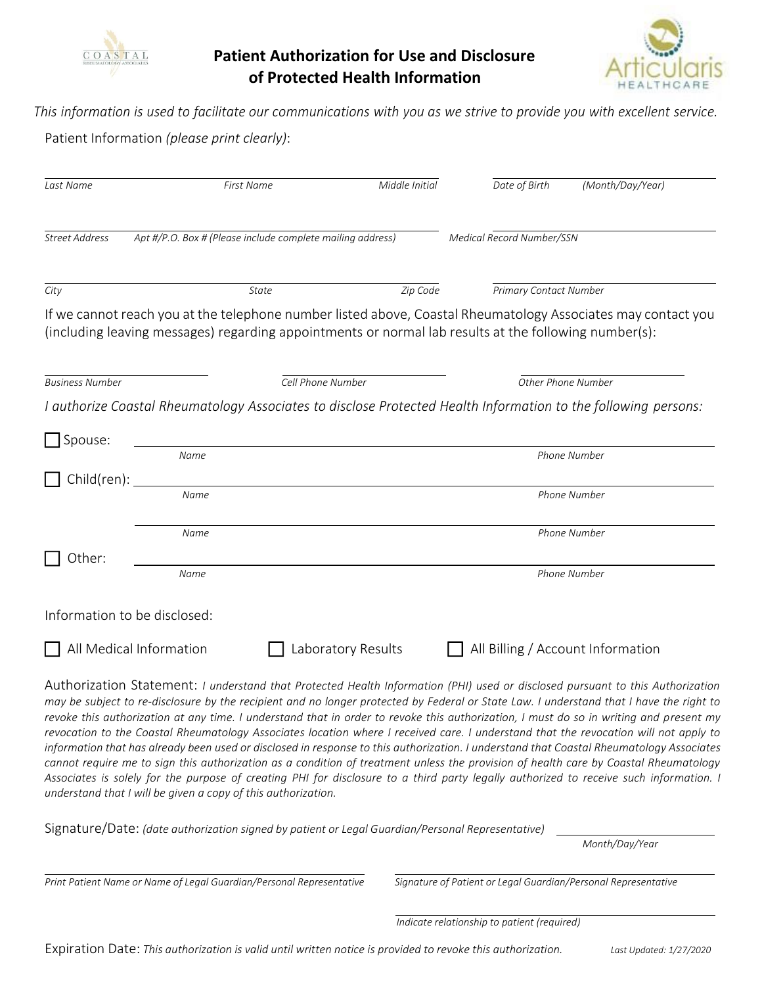

# **Patient Authorization for Use and Disclosure of Protected Health Information**



This information is used to facilitate our communications with you as we strive to provide you with excellent service.

Patient Information *(please print clearly)*:

| Last Name              | <b>First Name</b>                                                                                                                                                                                                     | Middle Initial     | Date of Birth             | (Month/Day/Year)                  |
|------------------------|-----------------------------------------------------------------------------------------------------------------------------------------------------------------------------------------------------------------------|--------------------|---------------------------|-----------------------------------|
| <b>Street Address</b>  | Apt #/P.O. Box # (Please include complete mailing address)                                                                                                                                                            |                    | Medical Record Number/SSN |                                   |
| City                   | <b>State</b>                                                                                                                                                                                                          | Zip Code           |                           | <b>Primary Contact Number</b>     |
|                        | If we cannot reach you at the telephone number listed above, Coastal Rheumatology Associates may contact you<br>(including leaving messages) regarding appointments or normal lab results at the following number(s): |                    |                           |                                   |
| <b>Business Number</b> | Cell Phone Number                                                                                                                                                                                                     |                    |                           | Other Phone Number                |
|                        | I authorize Coastal Rheumatology Associates to disclose Protected Health Information to the following persons:                                                                                                        |                    |                           |                                   |
| Spouse:                |                                                                                                                                                                                                                       |                    |                           |                                   |
|                        | Name                                                                                                                                                                                                                  |                    |                           | Phone Number                      |
| Child(ren):            |                                                                                                                                                                                                                       |                    |                           |                                   |
|                        | Name                                                                                                                                                                                                                  |                    |                           | <b>Phone Number</b>               |
|                        | Name                                                                                                                                                                                                                  |                    |                           | Phone Number                      |
| Other:                 |                                                                                                                                                                                                                       |                    |                           |                                   |
|                        | Name                                                                                                                                                                                                                  |                    |                           | Phone Number                      |
|                        | Information to be disclosed:                                                                                                                                                                                          |                    |                           |                                   |
|                        | All Medical Information                                                                                                                                                                                               | Laboratory Results |                           | All Billing / Account Information |

Authorization Statement: *I understand that Protected Health Information (PHI) used or disclosed pursuant to this Authorization may be subject to re-disclosure by the recipient and no longer protected by Federal or State Law. I understand that I have the right to revoke this authorization at any time. I understand that in order to revoke this authorization, I must do so in writing and present my revocation to the Coastal Rheumatology Associates location where I received care. I understand that the revocation will not apply to* information that has already been used or disclosed in response to this authorization. I understand that Coastal Rheumatology Associates *cannot require me to sign this authorization as a condition of treatment unless the provision of health care by Coastal Rheumatology Associates is solely for the purpose of creating PHI for disclosure to a third party legally authorized to receive such information. I understand that I will be given a copy of this authorization.*

Signature/Date: *(date authorization signed by patient or Legal Guardian/Personal Representative)* 

*Month/Day/Year*

Print Patient Name or Name of Legal Guardian/Personal Representative Signature of Patient or Legal Guardian/Personal Representative

 *Indicate relationship to patient (required)*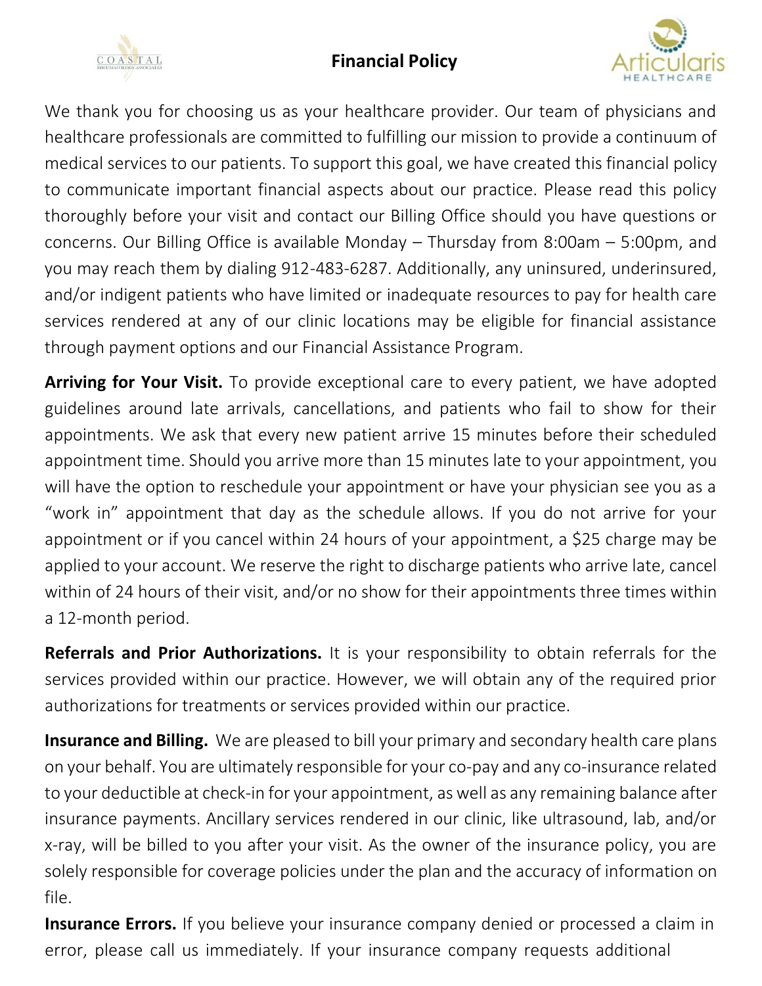# **Financial Policy**





We thank you for choosing us as your healthcare provider. Our team of physicians and healthcare professionals are committed to fulfilling our mission to provide a continuum of medical services to our patients. To support this goal, we have created this financial policy to communicate important financial aspects about our practice. Please read this policy thoroughly before your visit and contact our Billing Office should you have questions or concerns. Our Billing Office is available Monday – Thursday from 8:00am – 5:00pm, and you may reach them by dialing 912-483-6287. Additionally, any uninsured, underinsured, and/or indigent patients who have limited or inadequate resources to pay for health care services rendered at any of our clinic locations may be eligible for financial assistance through payment options and our Financial Assistance Program.

**Arriving for Your Visit.** To provide exceptional care to every patient, we have adopted guidelines around late arrivals, cancellations, and patients who fail to show for their appointments. We ask that every new patient arrive 15 minutes before their scheduled appointment time. Should you arrive more than 15 minutes late to your appointment, you will have the option to reschedule your appointment or have your physician see you as a "work in" appointment that day as the schedule allows. If you do not arrive for your appointment or if you cancel within 24 hours of your appointment, a \$25 charge may be applied to your account. We reserve the right to discharge patients who arrive late, cancel within of 24 hours of their visit, and/or no show for their appointments three times within a 12-month period.

**Referrals and Prior Authorizations.** It is your responsibility to obtain referrals for the services provided within our practice. However, we will obtain any of the required prior authorizations for treatments or services provided within our practice.

**Insurance and Billing.** We are pleased to bill your primary and secondary health care plans on your behalf. You are ultimately responsible for your co-pay and any co-insurance related to your deductible at check-in for your appointment, aswell as any remaining balance after insurance payments. Ancillary services rendered in our clinic, like ultrasound, lab, and/or x-ray, will be billed to you after your visit. As the owner of the insurance policy, you are solely responsible for coverage policies under the plan and the accuracy of information on file.

**Insurance Errors.** If you believe your insurance company denied or processed a claim in error, please call us immediately. If your insurance company requests additional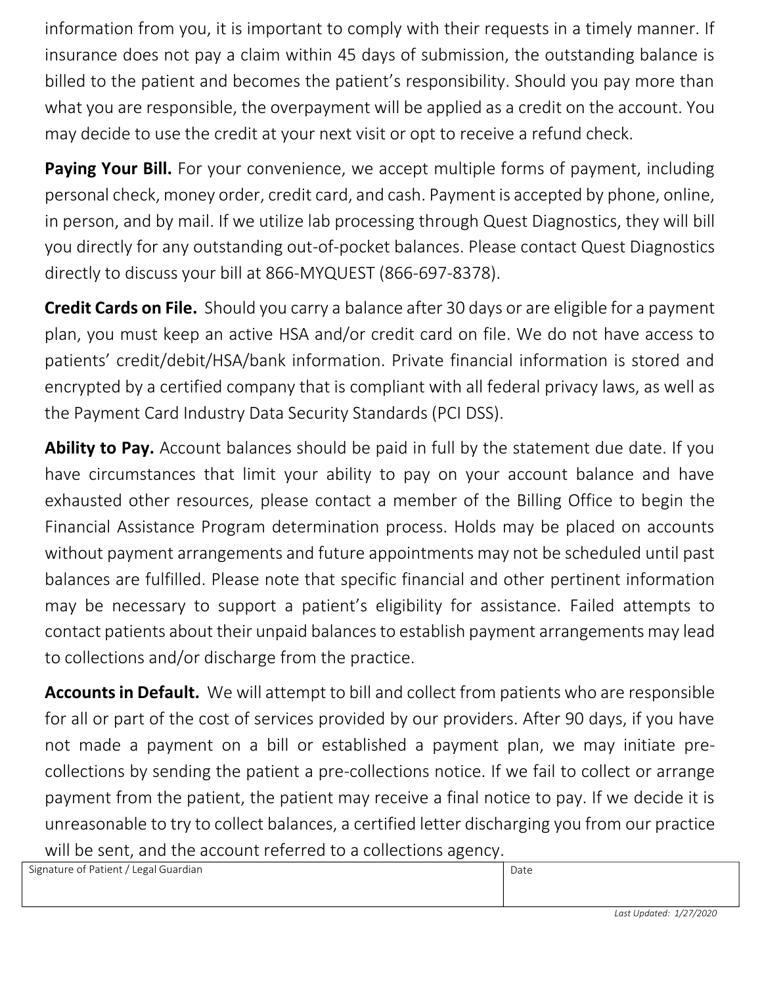information from you, it is important to comply with their requests in a timely manner. If insurance does not pay a claim within 45 days of submission, the outstanding balance is billed to the patient and becomes the patient's responsibility. Should you pay more than what you are responsible, the overpayment will be applied as a credit on the account. You may decide to use the credit at your next visit or opt to receive a refund check.

**Paying Your Bill.** For your convenience, we accept multiple forms of payment, including personal check, money order, credit card, and cash. Payment is accepted by phone, online, in person, and by mail. If we utilize lab processing through Quest Diagnostics, they will bill you directly for any outstanding out-of-pocket balances. Please contact Quest Diagnostics directly to discuss your bill at 866-MYQUEST (866-697-8378).

**Credit Cards on File.** Should you carry a balance after 30 days or are eligible for a payment plan, you must keep an active HSA and/or credit card on file. We do not have access to patients' credit/debit/HSA/bank information. Private financial information is stored and encrypted by a certified company that is compliant with all federal privacy laws, as well as the Payment Card Industry Data Security Standards (PCI DSS).

Ability to Pay. Account balances should be paid in full by the statement due date. If you have circumstances that limit your ability to pay on your account balance and have exhausted other resources, please contact a member of the Billing Office to begin the Financial Assistance Program determination process. Holds may be placed on accounts without payment arrangements and future appointments may not be scheduled until past balances are fulfilled. Please note that specific financial and other pertinent information may be necessary to support a patient's eligibility for assistance. Failed attempts to contact patients about their unpaid balancesto establish payment arrangements may lead to collections and/or discharge from the practice.

**Accounts in Default.** We will attempt to bill and collect from patients who are responsible for all or part of the cost of services provided by our providers. After 90 days, if you have not made a payment on a bill or established a payment plan, we may initiate precollections by sending the patient a pre-collections notice. If we fail to collect or arrange payment from the patient, the patient may receive a final notice to pay. If we decide it is unreasonable to try to collect balances, a certified letter discharging you from our practice will be sent, and the account referred to a collections agency.

Signature of Patient / Legal Guardian Date **Date 2006** Date 2006 and Date 2006 Date 2014 Date 2014 Date 2014 Date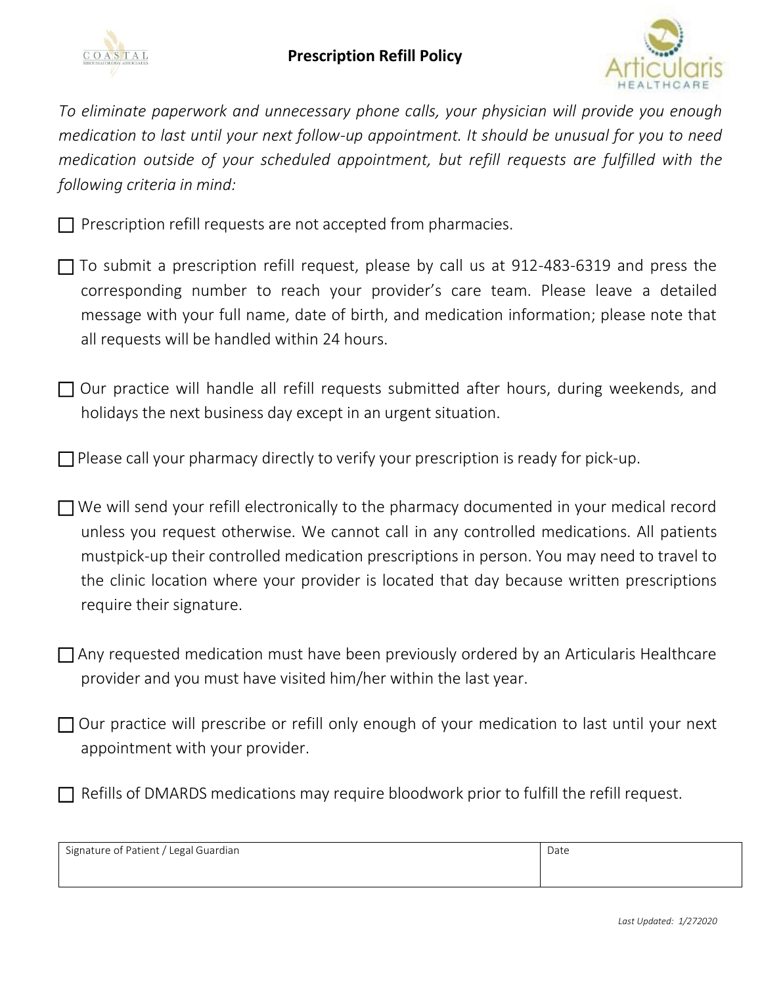



*To eliminate paperwork and unnecessary phone calls, your physician will provide you enough medication to last until your next follow-up appointment. It should be unusual for you to need medication outside of your scheduled appointment, but refill requests are fulfilled with the following criteria in mind:* 

 $\Box$  Prescription refill requests are not accepted from pharmacies.

- $\Box$  To submit a prescription refill request, please by call us at 912-483-6319 and press the corresponding number to reach your provider's care team. Please leave a detailed message with your full name, date of birth, and medication information; please note that all requests will be handled within 24 hours.
- $\Box$  Our practice will handle all refill requests submitted after hours, during weekends, and holidays the next business day except in an urgent situation.
- $\Box$  Please call your pharmacy directly to verify your prescription is ready for pick-up.
- $\Box$  We will send your refill electronically to the pharmacy documented in your medical record unless you request otherwise. We cannot call in any controlled medications. All patients mustpick-up their controlled medication prescriptions in person. You may need to travel to the clinic location where your provider is located that day because written prescriptions require their signature.
- Any requested medication must have been previously ordered by an Articularis Healthcare provider and you must have visited him/her within the last year.
- $\Box$  Our practice will prescribe or refill only enough of your medication to last until your next appointment with your provider.
- Refills of DMARDS medications may require bloodwork prior to fulfill the refill request.

Signature of Patient / Legal Guardian Date **Date 2018** Date Date 2018 and Date 2018 Date 2018 Date 2018 Date 2018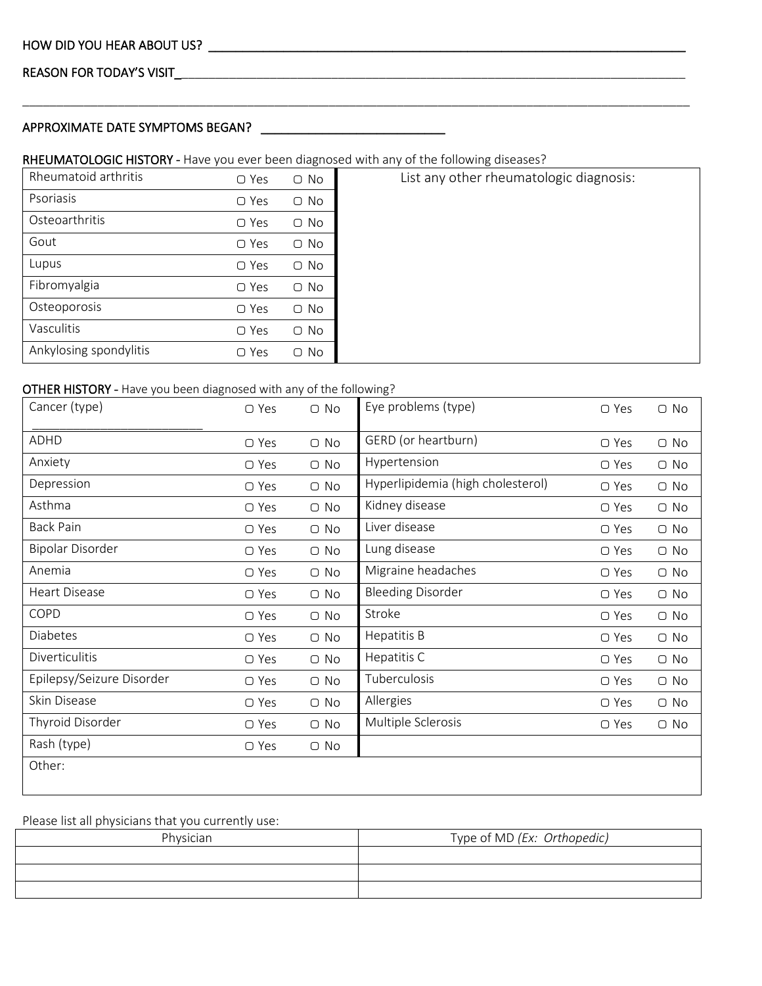# REASON FOR TODAY'S VISIT\_\_\_\_\_\_\_\_\_\_\_\_\_\_\_\_\_\_\_\_\_\_\_\_\_\_\_\_\_\_\_\_\_\_\_\_\_\_\_\_\_\_\_\_\_\_\_\_\_\_\_\_\_\_\_\_\_\_\_\_\_\_\_\_\_\_\_\_\_\_\_\_\_\_\_

# APPROXIMATE DATE SYMPTOMS BEGAN? \_\_\_\_\_\_\_\_\_\_\_\_\_\_\_\_\_\_\_\_\_\_\_\_\_\_\_

# RHEUMATOLOGIC HISTORY - Have you ever been diagnosed with any of the following diseases?

| Rheumatoid arthritis   | $\bigcirc$ Yes | $\bigcirc$ No | List any other rheumatologic diagnosis: |
|------------------------|----------------|---------------|-----------------------------------------|
| Psoriasis              | $\bigcirc$ Yes | $\bigcirc$ No |                                         |
| Osteoarthritis         | $\bigcirc$ Yes | $\bigcirc$ No |                                         |
| Gout                   | $\bigcirc$ Yes | $\bigcirc$ No |                                         |
| Lupus                  | $\bigcirc$ Yes | $\bigcirc$ No |                                         |
| Fibromyalgia           | $\bigcirc$ Yes | $\bigcirc$ No |                                         |
| Osteoporosis           | $\bigcirc$ Yes | $\bigcirc$ No |                                         |
| Vasculitis             | $\bigcirc$ Yes | $\bigcirc$ No |                                         |
| Ankylosing spondylitis | $\bigcirc$ Yes | $\bigcirc$ No |                                         |
|                        |                |               |                                         |

\_\_\_\_\_\_\_\_\_\_\_\_\_\_\_\_\_\_\_\_\_\_\_\_\_\_\_\_\_\_\_\_\_\_\_\_\_\_\_\_\_\_\_\_\_\_\_\_\_\_\_\_\_\_\_\_\_\_\_\_\_\_\_\_\_\_\_\_\_\_\_\_\_\_\_\_\_\_\_\_\_\_\_\_\_\_\_\_\_\_\_\_\_\_\_\_\_\_

### OTHER HISTORY - Have you been diagnosed with any of the following?

| Cancer (type)             | $\bigcirc$ Yes | $\bigcirc$ No | Eye problems (type)               | $\bigcirc$ Yes | $\bigcirc$ No |
|---------------------------|----------------|---------------|-----------------------------------|----------------|---------------|
| ADHD                      | $\bigcirc$ Yes | $\bigcirc$ No | GERD (or heartburn)               | $\bigcirc$ Yes | $\bigcirc$ No |
| Anxiety                   | $\bigcirc$ Yes | $\bigcirc$ No | Hypertension                      | ○ Yes          | $\bigcirc$ No |
| Depression                | $\bigcirc$ Yes | $\bigcirc$ No | Hyperlipidemia (high cholesterol) | $\bigcirc$ Yes | $\bigcirc$ No |
| Asthma                    | $\bigcirc$ Yes | $\bigcirc$ No | Kidney disease                    | ○ Yes          | $\bigcirc$ No |
| <b>Back Pain</b>          | $\bigcirc$ Yes | $\bigcirc$ No | Liver disease                     | $\bigcirc$ Yes | $\bigcirc$ No |
| <b>Bipolar Disorder</b>   | $\bigcirc$ Yes | $\bigcirc$ No | Lung disease                      | $\bigcirc$ Yes | $\bigcirc$ No |
| Anemia                    | $\bigcirc$ Yes | $\bigcirc$ No | Migraine headaches                | ○ Yes          | $\bigcirc$ No |
| <b>Heart Disease</b>      | $\bigcirc$ Yes | $\bigcirc$ No | <b>Bleeding Disorder</b>          | $\bigcirc$ Yes | $\bigcirc$ No |
| COPD                      | $\bigcirc$ Yes | $\bigcirc$ No | Stroke                            | $\bigcirc$ Yes | $\bigcirc$ No |
| <b>Diabetes</b>           | ○ Yes          | $\bigcirc$ No | Hepatitis B                       | ○ Yes          | $\bigcirc$ No |
| Diverticulitis            | ○ Yes          | $\bigcirc$ No | Hepatitis C                       | ○ Yes          | $\bigcirc$ No |
| Epilepsy/Seizure Disorder | $\bigcirc$ Yes | $\bigcirc$ No | Tuberculosis                      | $\bigcirc$ Yes | $\bigcirc$ No |
| Skin Disease              | ○ Yes          | $\bigcirc$ No | Allergies                         | ○ Yes          | $\bigcirc$ No |
| Thyroid Disorder          | $\bigcirc$ Yes | $\bigcirc$ No | Multiple Sclerosis                | ○ Yes          | $\bigcirc$ No |
| Rash (type)               | $\bigcirc$ Yes | $\bigcirc$ No |                                   |                |               |
| Other:                    |                |               |                                   |                |               |

# Please list all physicians that you currently use:

| Physician | Type of MD (Ex: Orthopedic) |
|-----------|-----------------------------|
|           |                             |
|           |                             |
|           |                             |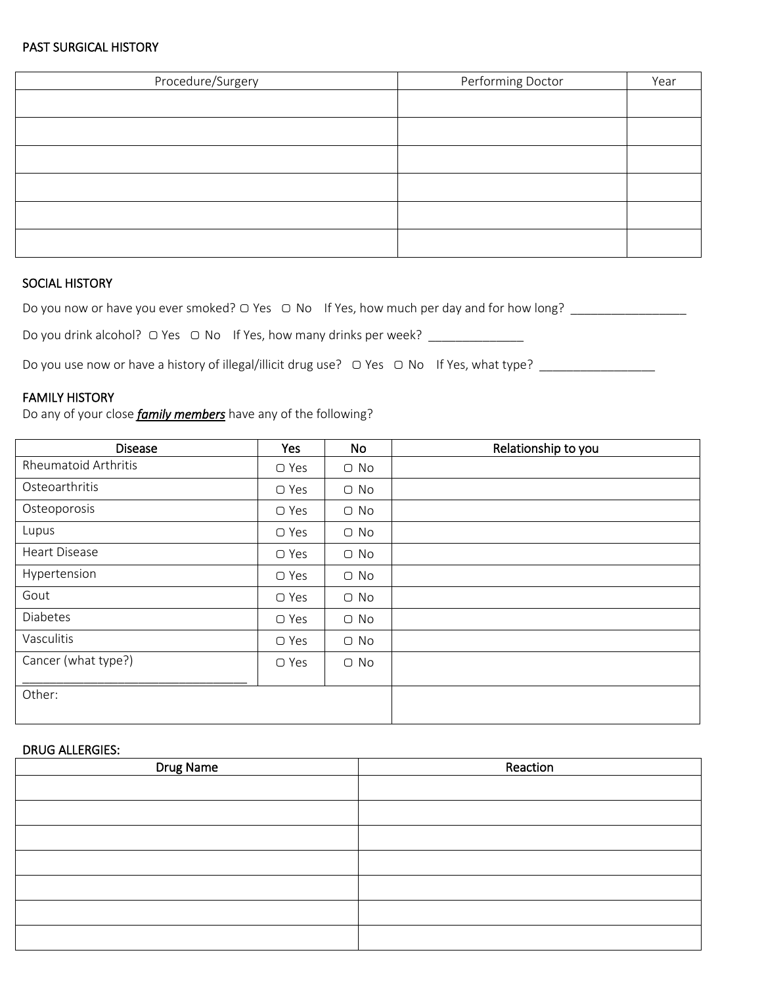# PAST SURGICAL HISTORY

| Procedure/Surgery | Performing Doctor | Year |
|-------------------|-------------------|------|
|                   |                   |      |
|                   |                   |      |
|                   |                   |      |
|                   |                   |      |
|                   |                   |      |
|                   |                   |      |

# SOCIAL HISTORY

Do you now or have you ever smoked? ○ Yes ○ No If Yes, how much per day and for how long? \_\_\_\_\_\_\_\_\_\_\_\_\_\_\_\_\_\_\_\_

Do you drink alcohol? ○ Yes ○ No If Yes, how many drinks per week? \_\_\_\_\_\_\_\_\_\_\_\_

Do you use now or have a history of illegal/illicit drug use? ▢ Yes ▢ No If Yes, what type? \_\_\_\_\_\_\_\_\_\_\_\_\_\_\_\_\_

### FAMILY HISTORY

Do any of your close *family members* have any of the following?

| <b>Disease</b>              | Yes            | <b>No</b>     | Relationship to you |
|-----------------------------|----------------|---------------|---------------------|
| <b>Rheumatoid Arthritis</b> | $\bigcirc$ Yes | $\bigcirc$ No |                     |
| Osteoarthritis              | ○ Yes          | $\bigcirc$ No |                     |
| Osteoporosis                | $\Box$ Yes     | $\bigcirc$ No |                     |
| Lupus                       | $\bigcirc$ Yes | $\bigcirc$ No |                     |
| <b>Heart Disease</b>        | $\bigcirc$ Yes | $\bigcirc$ No |                     |
| Hypertension                | ○ Yes          | $\bigcirc$ No |                     |
| Gout                        | $\bigcirc$ Yes | $\bigcirc$ No |                     |
| Diabetes                    | ○ Yes          | $\bigcirc$ No |                     |
| Vasculitis                  | ○ Yes          | $\bigcirc$ No |                     |
| Cancer (what type?)         | ○ Yes          | $\bigcirc$ No |                     |
| Other:                      |                |               |                     |

## DRUG ALLERGIES:

| Drug Name | Reaction |
|-----------|----------|
|           |          |
|           |          |
|           |          |
|           |          |
|           |          |
|           |          |
|           |          |